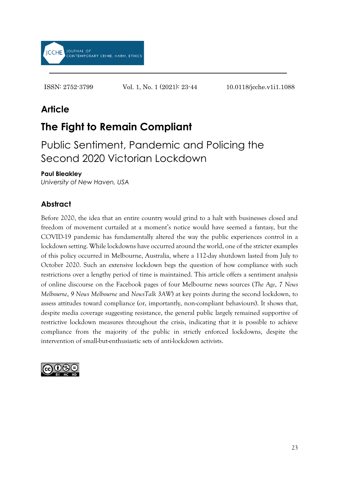

ISSN: 2752-3799 Vol. 1, No. 1 (2021): 23-44 10.0118/jcche.v1i1.1088

# **Article**

# **The Fight to Remain Compliant**

Public Sentiment, Pandemic and Policing the Second 2020 Victorian Lockdown

### **Paul Bleakley**

*University of New Haven, USA*

## **Abstract**

Before 2020, the idea that an entire country would grind to a halt with businesses closed and freedom of movement curtailed at a moment's notice would have seemed a fantasy, but the COVID-19 pandemic has fundamentally altered the way the public experiences control in a lockdown setting. While lockdowns have occurred around the world, one of the stricter examples of this policy occurred in Melbourne, Australia, where a 112-day shutdown lasted from July to October 2020. Such an extensive lockdown begs the question of how compliance with such restrictions over a lengthy period of time is maintained. This article offers a sentiment analysis of online discourse on the Facebook pages of four Melbourne news sources (*The Age*, *7 News Melbourne*, *9 News Melbourne* and *NewsTalk 3AW*) at key points during the second lockdown, to assess attitudes toward compliance (or, importantly, non-compliant behaviours). It shows that, despite media coverage suggesting resistance, the general public largely remained supportive of restrictive lockdown measures throughout the crisis, indicating that it is possible to achieve compliance from the majority of the public in strictly enforced lockdowns, despite the intervention of small-but-enthusiastic sets of anti-lockdown activists.

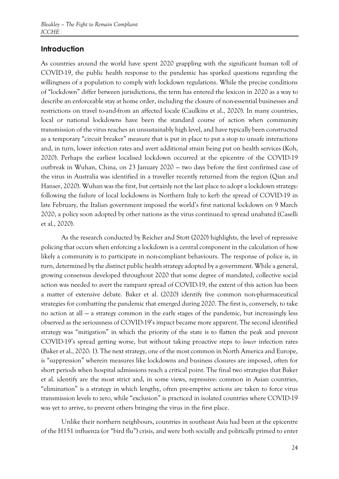### **Introduction**

As countries around the world have spent 2020 grappling with the significant human toll of COVID-19, the public health response to the pandemic has sparked questions regarding the willingness of a population to comply with lockdown regulations. While the precise conditions of "lockdown" differ between jurisdictions, the term has entered the lexicon in 2020 as a way to describe an enforceable stay at home order, including the closure of non-essential businesses and restrictions on travel to-and-from an affected locale (Caulkins et al., 2020). In many countries, local or national lockdowns have been the standard course of action when community transmission of the virus reaches an unsustainably high level, and have typically been constructed as a temporary "circuit breaker" measure that is put in place to put a stop to unsafe interactions and, in turn, lower infection rates and avert additional strain being put on health services (Koh, 2020). Perhaps the earliest localised lockdown occurred at the epicentre of the COVID-19 outbreak in Wuhan, China, on 23 January 2020 — two days before the first confirmed case of the virus in Australia was identified in a traveller recently returned from the region (Qian and Hanser, 2020). Wuhan was the first, but certainly not the last place to adopt a lockdown strategy: following the failure of local lockdowns in Northern Italy to kerb the spread of COVID-19 in late February, the Italian government imposed the world's first national lockdown on 9 March 2020, a policy soon adopted by other nations as the virus continued to spread unabated (Caselli et al., 2020).

As the research conducted by Reicher and Stott (2020) highlights, the level of repressive policing that occurs when enforcing a lockdown is a central component in the calculation of how likely a community is to participate in non-compliant behaviours. The response of police is, in turn, determined by the distinct public health strategy adopted by a government. While a general, growing consensus developed throughout 2020 that some degree of mandated, collective social action was needed to avert the rampant spread of COVID-19, the extent of this action has been a matter of extensive debate. Baker et al. (2020) identify five common non-pharmaceutical strategies for combatting the pandemic that emerged during 2020. The first is, conversely, to take no action at all — a strategy common in the early stages of the pandemic, but increasingly less observed as the seriousness of COVID-19's impact became more apparent. The second identified strategy was "mitigation" in which the priority of the state is to flatten the peak and prevent COVID-19's spread getting worse, but without taking proactive steps to *lower* infection rates (Baker et al., 2020: 1). The next strategy, one of the most common in North America and Europe, is "suppression" wherein measures like lockdowns and business closures are imposed, often for short periods when hospital admissions reach a critical point. The final two strategies that Baker et al. identify are the most strict and, in some views, repressive: common in Asian countries, "elimination" is a strategy in which lengthy, often pre-emptive actions are taken to force virus transmission levels to zero, while "exclusion" is practiced in isolated countries where COVID-19 was yet to arrive, to prevent others bringing the virus in the first place.

Unlike their northern neighbours, countries in southeast Asia had been at the epicentre of the H151 influenza (or "bird flu") crisis, and were both socially and politically primed to enter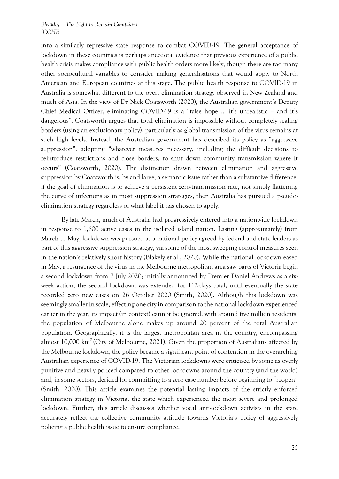into a similarly repressive state response to combat COVID-19. The general acceptance of lockdown in these countries is perhaps anecdotal evidence that previous experience of a public health crisis makes compliance with public health orders more likely, though there are too many other sociocultural variables to consider making generalisations that would apply to North American and European countries at this stage. The public health response to COVID-19 in Australia is somewhat different to the overt elimination strategy observed in New Zealand and much of Asia. In the view of Dr Nick Coatsworth (2020), the Australian government's Deputy Chief Medical Officer, eliminating COVID-19 is a "false hope … it's unrealistic – and it's dangerous". Coatsworth argues that total elimination is impossible without completely sealing borders (using an exclusionary policy), particularly as global transmission of the virus remains at such high levels. Instead, the Australian government has described its policy as "aggressive suppression": adopting "whatever measures necessary, including the difficult decisions to reintroduce restrictions and close borders, to shut down community transmission where it occurs" (Coatsworth, 2020). The distinction drawn between elimination and aggressive suppression by Coatsworth is, by and large, a semantic issue rather than a substantive difference: if the goal of elimination is to achieve a persistent zero-transmission rate, not simply flattening the curve of infections as in most suppression strategies, then Australia has pursued a pseudoelimination strategy regardless of what label it has chosen to apply.

By late March, much of Australia had progressively entered into a nationwide lockdown in response to 1,600 active cases in the isolated island nation. Lasting (approximately) from March to May, lockdown was pursued as a national policy agreed by federal and state leaders as part of this aggressive suppression strategy, via some of the most sweeping control measures seen in the nation's relatively short history (Blakely et al., 2020). While the national lockdown eased in May, a resurgence of the virus in the Melbourne metropolitan area saw parts of Victoria begin a second lockdown from 7 July 2020; initially announced by Premier Daniel Andrews as a sixweek action, the second lockdown was extended for 112-days total, until eventually the state recorded zero new cases on 26 October 2020 (Smith, 2020). Although this lockdown was seemingly smaller in scale, effecting one city in comparison to the national lockdown experienced earlier in the year, its impact (in context) cannot be ignored: with around five million residents, the population of Melbourne alone makes up around 20 percent of the total Australian population. Geographically, it is the largest metropolitan area in the country, encompassing almost 10,000 km<sup>2</sup> (City of Melbourne, 2021). Given the proportion of Australians affected by the Melbourne lockdown, the policy became a significant point of contention in the overarching Australian experience of COVID-19. The Victorian lockdowns were criticised by some as overly punitive and heavily policed compared to other lockdowns around the country (and the world) and, in some sectors, derided for committing to a zero case number before beginning to "reopen" (Smith, 2020). This article examines the potential lasting impacts of the strictly enforced elimination strategy in Victoria, the state which experienced the most severe and prolonged lockdown. Further, this article discusses whether vocal anti-lockdown activists in the state accurately reflect the collective community attitude towards Victoria's policy of aggressively policing a public health issue to ensure compliance.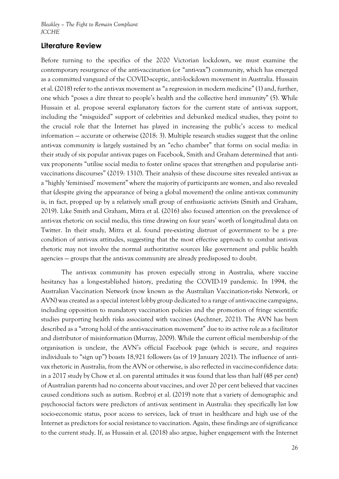### **Literature Review**

Before turning to the specifics of the 2020 Victorian lockdown, we must examine the contemporary resurgence of the anti-vaccination (or "anti-vax") community, which has emerged as a committed vanguard of the COVID-sceptic, anti-lockdown movement in Australia. Hussain et al. (2018) refer to the anti-vax movement as "a regression in modern medicine" (1) and, further, one which "poses a dire threat to people's health and the collective herd immunity" (5). While Hussain et al. propose several explanatory factors for the current state of anti-vax support, including the "misguided" support of celebrities and debunked medical studies, they point to the crucial role that the Internet has played in increasing the public's access to medical information — accurate or otherwise (2018: 3). Multiple research studies suggest that the online anti-vax community is largely sustained by an "echo chamber" that forms on social media: in their study of six popular anti-vax pages on Facebook, Smith and Graham determined that antivax proponents "utilise social media to foster online spaces that strengthen and popularise antivaccinations discourses" (2019: 1310). Their analysis of these discourse sites revealed anti-vax as a "highly 'feminised' movement" where the majority of participants are women, and also revealed that (despite giving the appearance of being a global movement) the online anti-vax community is, in fact, propped up by a relatively small group of enthusiastic activists (Smith and Graham, 2019). Like Smith and Graham, Mitra et al. (2016) also focused attention on the prevalence of anti-vax rhetoric on social media, this time drawing on four years' worth of longitudinal data on Twitter. In their study, Mitra et al. found pre-existing distrust of government to be a precondition of anti-vax attitudes, suggesting that the most effective approach to combat anti-vax rhetoric may not involve the normal authoritative sources like government and public health agencies — groups that the anti-vax community are already predisposed to doubt.

The anti-vax community has proven especially strong in Australia, where vaccine hesitancy has a long-established history, predating the COVID-19 pandemic. In 1994, the Australian Vaccination Network (now known as the Australian Vaccination-risks Network, or AVN) was created as a special interest lobby group dedicated to a range of anti-vaccine campaigns, including opposition to mandatory vaccination policies and the promotion of fringe scientific studies purporting health risks associated with vaccines (Aechtner, 2021). The AVN has been described as a "strong hold of the anti-vaccination movement" due to its active role as a facilitator and distributor of misinformation (Murray, 2009). While the current official membership of the organisation is unclear, the AVN's official Facebook page (which is secure, and requires individuals to "sign up") boasts 18,921 followers (as of 19 January 2021). The influence of antivax rhetoric in Australia, from the AVN or otherwise, is also reflected in vaccine-confidence data: in a 2017 study by Chow et al. on parental attitudes it was found that less than half (48 per cent) of Australian parents had no concerns about vaccines, and over 20 per cent believed that vaccines caused conditions such as autism. Rozbroj et al. (2019) note that a variety of demographic and psychosocial factors were predictors of anti-vax sentiment in Australia: they specifically list low socio-economic status, poor access to services, lack of trust in healthcare and high use of the Internet as predictors for social resistance to vaccination. Again, these findings are of significance to the current study. If, as Hussain et al. (2018) also argue, higher engagement with the Internet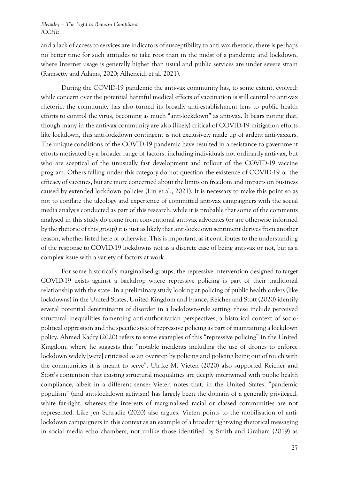and a lack of access to services are indicators of susceptibility to anti-vax rhetoric, there is perhaps no better time for such attitudes to take root than in the midst of a pandemic and lockdown, where Internet usage is generally higher than usual and public services are under severe strain (Ramsetty and Adams, 2020; Alheneidi et al. 2021).

During the COVID-19 pandemic the anti-vax community has, to some extent, evolved: while concern over the potential harmful medical effects of vaccination is still central to anti-vax rhetoric, the community has also turned its broadly anti-establishment lens to public health efforts to control the virus, becoming as much "anti-lockdown" as anti-vax. It bears noting that, though many in the anti-vax community are also (likely) critical of COVID-19 mitigation efforts like lockdown, this anti-lockdown contingent is not exclusively made up of ardent anti-vaxxers. The unique conditions of the COVID-19 pandemic have resulted in a resistance to government efforts motivated by a broader range of factors, including individuals not ordinarily anti-vax, but who are sceptical of the unusually fast development and rollout of the COVID-19 vaccine program. Others falling under this category do not question the existence of COVID-19 or the efficacy of vaccines, but are more concerned about the limits on freedom and impacts on business caused by extended lockdown policies (Lin et al., 2021). It is necessary to make this point so as not to conflate the ideology and experience of committed anti-vax campaigners with the social media analysis conducted as part of this research: while it is probable that some of the comments analysed in this study do come from conventional anti-vax advocates (or are otherwise informed by the rhetoric of this group) it is just as likely that anti-lockdown sentiment derives from another reason, whether listed here or otherwise. This is important, as it contributes to the understanding of the response to COVID-19 lockdowns not as a discrete case of being anti-vax or not, but as a complex issue with a variety of factors at work.

For some historically marginalised groups, the repressive intervention designed to target COVID-19 exists against a backdrop where repressive policing is part of their traditional relationship with the state. In a preliminary study looking at policing of public health orders (like lockdowns) in the United States, United Kingdom and France, Reicher and Stott (2020) identify several potential determinants of disorder in a lockdown-style setting: these include perceived structural inequalities fomenting anti-authoritarian perspectives, a historical context of sociopolitical oppression and the specific style of repressive policing as part of maintaining a lockdown policy. Ahmed Kadry (2020) refers to some examples of this "repressive policing" in the United Kingdom, where he suggests that "notable incidents including the use of drones to enforce lockdown widely [were] criticised as an overstep by policing and policing being out of touch with the communities it is meant to serve". Ulrike M. Vieten (2020) also supported Reicher and Stott's contention that existing structural inequalities are deeply intertwined with public health compliance, albeit in a different sense: Vieten notes that, in the United States, "pandemic populism" (and anti-lockdown activism) has largely been the domain of a generally privileged, white far-right, whereas the interests of marginalised racial or classed communities are not represented. Like Jen Schradie (2020) also argues, Vieten points to the mobilisation of antilockdown campaigners in this context as an example of a broader right-wing rhetorical messaging in social media echo chambers, not unlike those identified by Smith and Graham (2019) as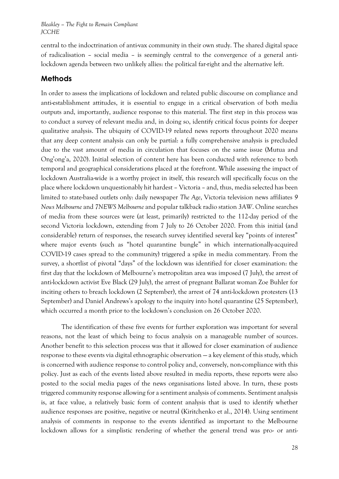central to the indoctrination of anti-vax community in their own study. The shared digital space of radicalisation – social media – is seemingly central to the convergence of a general antilockdown agenda between two unlikely allies: the political far-right and the alternative left.

### **Methods**

In order to assess the implications of lockdown and related public discourse on compliance and anti-establishment attitudes, it is essential to engage in a critical observation of both media outputs and, importantly, audience response to this material. The first step in this process was to conduct a survey of relevant media and, in doing so, identify critical focus points for deeper qualitative analysis. The ubiquity of COVID-19 related news reports throughout 2020 means that any deep content analysis can only be partial: a fully comprehensive analysis is precluded due to the vast amount of media in circulation that focuses on the same issue (Mutua and Ong'ong'a, 2020). Initial selection of content here has been conducted with reference to both temporal and geographical considerations placed at the forefront. While assessing the impact of lockdown Australia-wide is a worthy project in itself, this research will specifically focus on the place where lockdown unquestionably hit hardest – Victoria – and, thus, media selected has been limited to state-based outlets only: daily newspaper *The Age*, Victoria television news affiliates *9 News Melbourne* and *7NEWS Melbourne* and popular talkback radio station *3AW*. Online searches of media from these sources were (at least, primarily) restricted to the 112-day period of the second Victoria lockdown, extending from 7 July to 26 October 2020. From this initial (and considerable) return of responses, the research survey identified several key "points of interest" where major events (such as "hotel quarantine bungle" in which internationally-acquired COVID-19 cases spread to the community) triggered a spike in media commentary. From the survey, a shortlist of pivotal "days" of the lockdown was identified for closer examination: the first day that the lockdown of Melbourne's metropolitan area was imposed (7 July), the arrest of anti-lockdown activist Eve Black (29 July), the arrest of pregnant Ballarat woman Zoe Buhler for inciting others to breach lockdown (2 September), the arrest of 74 anti-lockdown protesters (13 September) and Daniel Andrews's apology to the inquiry into hotel quarantine (25 September), which occurred a month prior to the lockdown's conclusion on 26 October 2020.

The identification of these five events for further exploration was important for several reasons, not the least of which being to focus analysis on a manageable number of sources. Another benefit to this selection process was that it allowed for closer examination of audience response to these events via digital ethnographic observation — a key element of this study, which is concerned with audience response to control policy and, conversely, non-compliance with this policy. Just as each of the events listed above resulted in media reports, these reports were also posted to the social media pages of the news organisations listed above. In turn, these posts triggered community response allowing for a sentiment analysis of comments. Sentiment analysis is, at face value, a relatively basic form of content analysis that is used to identify whether audience responses are positive, negative or neutral (Kiritchenko et al., 2014). Using sentiment analysis of comments in response to the events identified as important to the Melbourne lockdown allows for a simplistic rendering of whether the general trend was pro- or anti-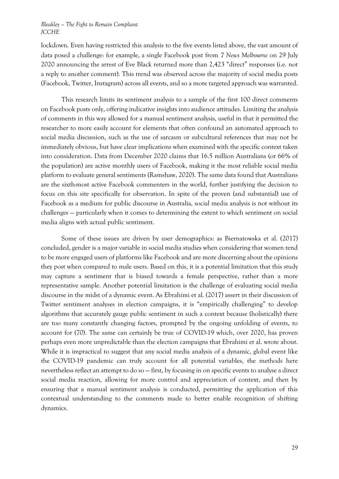lockdown. Even having restricted this analysis to the five events listed above, the vast amount of data posed a challenge: for example, a single Facebook post from *7 News Melbourne* on 29 July 2020 announcing the arrest of Eve Black returned more than 2,423 "direct" responses (i.e. not a reply to another comment). This trend was observed across the majority of social media posts (Facebook, Twitter, Instagram) across all events, and so a more targeted approach was warranted.

This research limits its sentiment analysis to a sample of the first 100 direct comments on Facebook posts only, offering indicative insights into audience attitudes. Limiting the analysis of comments in this way allowed for a manual sentiment analysis, useful in that it permitted the researcher to more easily account for elements that often confound an automated approach to social media discussion, such as the use of sarcasm or subcultural references that may not be immediately obvious, but have clear implications when examined with the specific context taken into consideration. Data from December 2020 claims that 16.5 million Australians (or 66% of the population) are active monthly users of Facebook, making it the most reliable social media platform to evaluate general sentiments (Ramshaw, 2020). The same data found that Australians are the sixth-most active Facebook commenters in the world, further justifying the decision to focus on this site specifically for observation. In spite of the proven (and substantial) use of Facebook as a medium for public discourse in Australia, social media analysis is not without its challenges — particularly when it comes to determining the extent to which sentiment on social media aligns with actual public sentiment.

Some of these issues are driven by user demographics: as Biernatowska et al. (2017) concluded, gender is a major variable in social media studies when considering that women tend to be more engaged users of platforms like Facebook and are more discerning about the opinions they post when compared to male users. Based on this, it is a potential limitation that this study may capture a sentiment that is biased towards a female perspective, rather than a more representative sample. Another potential limitation is the challenge of evaluating social media discourse in the midst of a dynamic event. As Ebrahimi et al. (2017) assert in their discussion of Twitter sentiment analyses in election campaigns, it is "empirically challenging" to develop algorithms that accurately gauge public sentiment in such a context because (holistically) there are too many constantly changing factors, prompted by the ongoing unfolding of events, to account for (70). The same can certainly be true of COVID-19 which, over 2020, has proven perhaps even more unpredictable than the election campaigns that Ebrahimi et al. wrote about. While it is impractical to suggest that any social media analysis of a dynamic, global event like the COVID-19 pandemic can truly account for all potential variables, the methods here nevertheless reflect an attempt to do so — first, by focusing in on specific events to analyse a direct social media reaction, allowing for more control and appreciation of context, and then by ensuring that a manual sentiment analysis is conducted, permitting the application of this contextual understanding to the comments made to better enable recognition of shifting dynamics.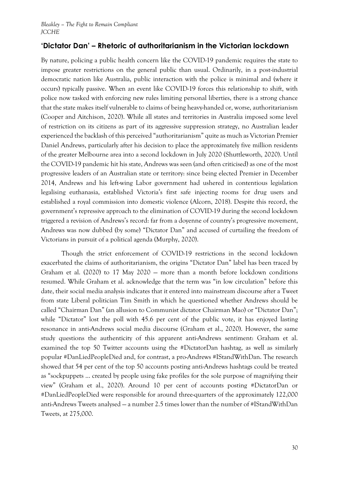## **'Dictator Dan' – Rhetoric of authoritarianism in the Victorian lockdown**

By nature, policing a public health concern like the COVID-19 pandemic requires the state to impose greater restrictions on the general public than usual. Ordinarily, in a post-industrial democratic nation like Australia, public interaction with the police is minimal and (where it occurs) typically passive. When an event like COVID-19 forces this relationship to shift, with police now tasked with enforcing new rules limiting personal liberties, there is a strong chance that the state makes itself vulnerable to claims of being heavy-handed or, worse, authoritarianism (Cooper and Aitchison, 2020). While all states and territories in Australia imposed some level of restriction on its citizens as part of its aggressive suppression strategy, no Australian leader experienced the backlash of this perceived "authoritarianism" quite as much as Victorian Premier Daniel Andrews, particularly after his decision to place the approximately five million residents of the greater Melbourne area into a second lockdown in July 2020 (Shuttleworth, 2020). Until the COVID-19 pandemic hit his state, Andrews was seen (and often criticised) as one of the most progressive leaders of an Australian state or territory: since being elected Premier in December 2014, Andrews and his left-wing Labor government had ushered in contentious legislation legalising euthanasia, established Victoria's first safe injecting rooms for drug users and established a royal commission into domestic violence (Alcorn, 2018). Despite this record, the government's repressive approach to the elimination of COVID-19 during the second lockdown triggered a revision of Andrews's record: far from a doyenne of country's progressive movement, Andrews was now dubbed (by some) "Dictator Dan" and accused of curtailing the freedom of Victorians in pursuit of a political agenda (Murphy, 2020).

Though the strict enforcement of COVID-19 restrictions in the second lockdown exacerbated the claims of authoritarianism, the origins "Dictator Dan" label has been traced by Graham et al. (2020) to 17 May 2020 — more than a month before lockdown conditions resumed. While Graham et al. acknowledge that the term was "in low circulation" before this date, their social media analysis indicates that it entered into mainstream discourse after a Tweet from state Liberal politician Tim Smith in which he questioned whether Andrews should be called "Chairman Dan" (an allusion to Communist dictator Chairman Mao) or "Dictator Dan"; while "Dictator" lost the poll with 45.6 per cent of the public vote, it has enjoyed lasting resonance in anti-Andrews social media discourse (Graham et al., 2020). However, the same study questions the authenticity of this apparent anti-Andrews sentiment: Graham et al. examined the top 50 Twitter accounts using the #DictatorDan hashtag, as well as similarly popular #DanLiedPeopleDied and, for contrast, a pro-Andrews #IStandWithDan. The research showed that 54 per cent of the top 50 accounts posting anti-Andrews hashtags could be treated as "sockpuppets … created by people using fake profiles for the sole purpose of magnifying their view" (Graham et al., 2020). Around 10 per cent of accounts posting #DictatorDan or #DanLiedPeopleDied were responsible for around three-quarters of the approximately 122,000 anti-Andrews Tweets analysed — a number 2.5 times lower than the number of #IStandWithDan Tweets, at 275,000.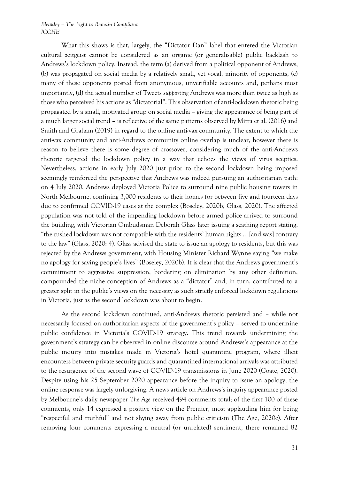What this shows is that, largely, the "Dictator Dan" label that entered the Victorian cultural zeitgeist cannot be considered as an organic (or generalisable) public backlash to Andrews's lockdown policy. Instead, the term (a) derived from a political opponent of Andrews, (b) was propagated on social media by a relatively small, yet vocal, minority of opponents, (c) many of these opponents posted from anonymous, unverifiable accounts and, perhaps most importantly, (d) the actual number of Tweets *supporting* Andrews was more than twice as high as those who perceived his actions as "dictatorial". This observation of anti-lockdown rhetoric being propagated by a small, motivated group on social media – giving the appearance of being part of a much larger social trend – is reflective of the same patterns observed by Mitra et al. (2016) and Smith and Graham (2019) in regard to the online anti-vax community. The extent to which the anti-vax community and anti-Andrews community online overlap is unclear, however there is reason to believe there is some degree of crossover, considering much of the anti-Andrews rhetoric targeted the lockdown policy in a way that echoes the views of virus sceptics. Nevertheless, actions in early July 2020 just prior to the second lockdown being imposed seemingly reinforced the perspective that Andrews was indeed pursuing an authoritarian path: on 4 July 2020, Andrews deployed Victoria Police to surround nine public housing towers in North Melbourne, confining 3,000 residents to their homes for between five and fourteen days due to confirmed COVID-19 cases at the complex (Boseley, 2020b; Glass, 2020). The affected population was not told of the impending lockdown before armed police arrived to surround the building, with Victorian Ombudsman Deborah Glass later issuing a scathing report stating, "the rushed lockdown was not compatible with the residents' human rights … [and was] contrary to the law" (Glass, 2020: 4). Glass advised the state to issue an apology to residents, but this was rejected by the Andrews government, with Housing Minister Richard Wynne saying "we make no apology for saving people's lives" (Boseley, 2020b). It is clear that the Andrews government's commitment to aggressive suppression, bordering on elimination by any other definition, compounded the niche conception of Andrews as a "dictator" and, in turn, contributed to a greater split in the public's views on the necessity as such strictly enforced lockdown regulations in Victoria, just as the second lockdown was about to begin.

As the second lockdown continued, anti-Andrews rhetoric persisted and – while not necessarily focused on authoritarian aspects of the government's policy – served to undermine public confidence in Victoria's COVID-19 strategy. This trend towards undermining the government's strategy can be observed in online discourse around Andrews's appearance at the public inquiry into mistakes made in Victoria's hotel quarantine program, where illicit encounters between private security guards and quarantined international arrivals was attributed to the resurgence of the second wave of COVID-19 transmissions in June 2020 (Coate, 2020). Despite using his 25 September 2020 appearance before the inquiry to issue an apology, the online response was largely unforgiving. A news article on Andrews's inquiry appearance posted by Melbourne's daily newspaper *The Age* received 494 comments total; of the first 100 of these comments, only 14 expressed a positive view on the Premier, most applauding him for being "respectful and truthful" and not shying away from public criticism (The Age, 2020c). After removing four comments expressing a neutral (or unrelated) sentiment, there remained 82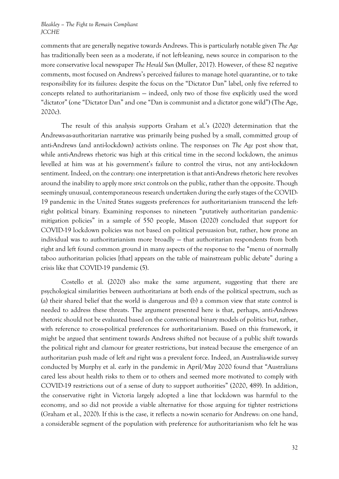comments that are generally negative towards Andrews. This is particularly notable given *The Age*  has traditionally been seen as a moderate, if not left-leaning, news source in comparison to the more conservative local newspaper *The Herald Sun* (Muller, 2017). However, of these 82 negative comments, most focused on Andrews's perceived failures to manage hotel quarantine, or to take responsibility for its failures: despite the focus on the "Dictator Dan" label, only five referred to concepts related to authoritarianism — indeed, only two of those five explicitly used the word "dictator" (one "Dictator Dan" and one "Dan is communist and a dictator gone wild") (The Age, 2020c).

The result of this analysis supports Graham et al.'s (2020) determination that the Andrews-as-authoritarian narrative was primarily being pushed by a small, committed group of anti-Andrews (and anti-lockdown) activists online. The responses on *The Age* post show that, while anti-Andrews rhetoric was high at this critical time in the second lockdown, the animus levelled at him was at his government's failure to control the virus, not any anti-lockdown sentiment. Indeed, on the contrary: one interpretation is that anti-Andrews rhetoric here revolves around the inability to apply more *strict* controls on the public, rather than the opposite. Though seemingly unusual, contemporaneous research undertaken during the early stages of the COVID-19 pandemic in the United States suggests preferences for authoritarianism transcend the leftright political binary. Examining responses to nineteen "putatively authoritarian pandemicmitigation policies" in a sample of 550 people, Mason (2020) concluded that support for COVID-19 lockdown policies was not based on political persuasion but, rather, how prone an individual was to authoritarianism more broadly — that authoritarian respondents from both right and left found common ground in many aspects of the response to the "menu of normally taboo authoritarian policies [that] appears on the table of mainstream public debate" during a crisis like that COVID-19 pandemic (5).

Costello et al. (2020) also make the same argument, suggesting that there are psychological similarities between authoritarians at both ends of the political spectrum, such as (a) their shared belief that the world is dangerous and (b) a common view that state control is needed to address these threats. The argument presented here is that, perhaps, anti-Andrews rhetoric should not be evaluated based on the conventional binary models of politics but, rather, with reference to cross-political preferences for authoritarianism. Based on this framework, it might be argued that sentiment towards Andrews shifted not because of a public shift towards the political right and clamour for greater restrictions, but instead because the emergence of an authoritarian push made of left *and* right was a prevalent force. Indeed, an Australia-wide survey conducted by Murphy et al. early in the pandemic in April/May 2020 found that "Australians cared less about health risks to them or to others and seemed more motivated to comply with COVID-19 restrictions out of a sense of duty to support authorities" (2020, 489). In addition, the conservative right in Victoria largely adopted a line that lockdown was harmful to the economy, and so did not provide a viable alternative for those arguing for tighter restrictions (Graham et al., 2020). If this is the case, it reflects a no-win scenario for Andrews: on one hand, a considerable segment of the population with preference for authoritarianism who felt he was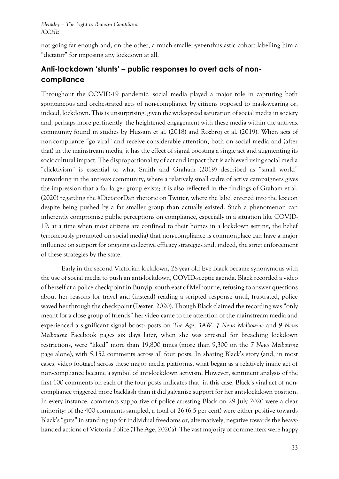not going far enough and, on the other, a much smaller-yet-enthusiastic cohort labelling him a "dictator" for imposing any lockdown at all.

# **Anti-lockdown 'stunts' – public responses to overt acts of noncompliance**

Throughout the COVID-19 pandemic, social media played a major role in capturing both spontaneous and orchestrated acts of non-compliance by citizens opposed to mask-wearing or, indeed, lockdown. This is unsurprising, given the widespread saturation of social media in society and, perhaps more pertinently, the heightened engagement with these media within the anti-vax community found in studies by Hussain et al. (2018) and Rozbroj et al. (2019). When acts of non-compliance "go viral" and receive considerable attention, both on social media and (after that) in the mainstream media, it has the effect of signal boosting a single act and augmenting its sociocultural impact. The disproportionality of act and impact that is achieved using social media "clicktivism" is essential to what Smith and Graham (2019) described as "small world" networking in the anti-vax community, where a relatively small cadre of active campaigners gives the impression that a far larger group exists; it is also reflected in the findings of Graham et al. (2020) regarding the #DictatorDan rhetoric on Twitter, where the label entered into the lexicon despite being pushed by a far smaller group than actually existed. Such a phenomenon can inherently compromise public perceptions on compliance, especially in a situation like COVID-19: at a time when most citizens are confined to their homes in a lockdown setting, the belief (erroneously promoted on social media) that non-compliance is commonplace can have a major influence on support for ongoing collective efficacy strategies and, indeed, the strict enforcement of these strategies by the state.

Early in the second Victorian lockdown, 28-year-old Eve Black became synonymous with the use of social media to push an anti-lockdown, COVID-sceptic agenda. Black recorded a video of herself at a police checkpoint in Bunyip, south-east of Melbourne, refusing to answer questions about her reasons for travel and (instead) reading a scripted response until, frustrated, police waved her through the checkpoint (Dexter, 2020). Though Black claimed the recording was "only meant for a close group of friends" her video came to the attention of the mainstream media and experienced a significant signal boost: posts on *The Age*, *3AW*, *7 News Melbourne* and *9 News Melbourne* Facebook pages six days later, when she was arrested for breaching lockdown restrictions, were "liked" more than 19,800 times (more than 9,300 on the *7 News Melbourne*  page alone), with 5,152 comments across all four posts. In sharing Black's story (and, in most cases, video footage) across these major media platforms, what began as a relatively inane act of non-compliance became a symbol of anti-lockdown activism. However, sentiment analysis of the first 100 comments on each of the four posts indicates that, in this case, Black's viral act of noncompliance triggered more backlash than it did galvanise support for her anti-lockdown position. In every instance, comments supportive of police arresting Black on 29 July 2020 were a clear minority: of the 400 comments sampled, a total of 26 (6.5 per cent) were either positive towards Black's "guts" in standing up for individual freedoms or, alternatively, negative towards the heavyhanded actions of Victoria Police (The Age, 2020a). The vast majority of commenters were happy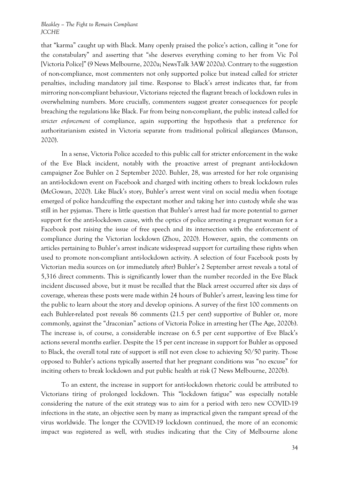that "karma" caught up with Black. Many openly praised the police's action, calling it "one for the constabulary" and asserting that "she deserves everything coming to her from Vic Pol [Victoria Police]" (9 News Melbourne, 2020a; NewsTalk 3AW 2020a). Contrary to the suggestion of non-compliance, most commenters not only supported police but instead called for stricter penalties, including mandatory jail time. Response to Black's arrest indicates that, far from mirroring non-compliant behaviour, Victorians rejected the flagrant breach of lockdown rules in overwhelming numbers. More crucially, commenters suggest greater consequences for people breaching the regulations like Black. Far from being non-compliant, the public instead called for *stricter enforcement* of compliance, again supporting the hypothesis that a preference for authoritarianism existed in Victoria separate from traditional political allegiances (Manson, 2020).

In a sense, Victoria Police acceded to this public call for stricter enforcement in the wake of the Eve Black incident, notably with the proactive arrest of pregnant anti-lockdown campaigner Zoe Buhler on 2 September 2020. Buhler, 28, was arrested for her role organising an anti-lockdown event on Facebook and charged with inciting others to break lockdown rules (McGowan, 2020). Like Black's story, Buhler's arrest went viral on social media when footage emerged of police handcuffing the expectant mother and taking her into custody while she was still in her pyjamas. There is little question that Buhler's arrest had far more potential to garner support for the anti-lockdown cause, with the optics of police arresting a pregnant woman for a Facebook post raising the issue of free speech and its intersection with the enforcement of compliance during the Victorian lockdown (Zhou, 2020). However, again, the comments on articles pertaining to Buhler's arrest indicate widespread support for curtailing these rights when used to promote non-compliant anti-lockdown activity. A selection of four Facebook posts by Victorian media sources on (or immediately after) Buhler's 2 September arrest reveals a total of 5,316 direct comments. This is significantly lower than the number recorded in the Eve Black incident discussed above, but it must be recalled that the Black arrest occurred after six days of coverage, whereas these posts were made within 24 hours of Buhler's arrest, leaving less time for the public to learn about the story and develop opinions. A survey of the first 100 comments on each Buhler-related post reveals 86 comments (21.5 per cent) supportive of Buhler or, more commonly, against the "draconian" actions of Victoria Police in arresting her (The Age, 2020b). The increase is, of course, a considerable increase on 6.5 per cent supportive of Eve Black's actions several months earlier. Despite the 15 per cent increase in support for Buhler as opposed to Black, the overall total rate of support is still not even close to achieving 50/50 parity. Those opposed to Buhler's actions typically asserted that her pregnant conditions was "no excuse" for inciting others to break lockdown and put public health at risk (7 News Melbourne, 2020b).

To an extent, the increase in support for anti-lockdown rhetoric could be attributed to Victorians tiring of prolonged lockdown. This "lockdown fatigue" was especially notable considering the nature of the exit strategy was to aim for a period with zero new COVID-19 infections in the state, an objective seen by many as impractical given the rampant spread of the virus worldwide. The longer the COVID-19 lockdown continued, the more of an economic impact was registered as well, with studies indicating that the City of Melbourne alone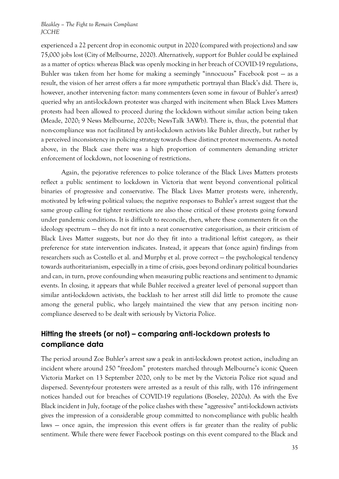experienced a 22 percent drop in economic output in 2020 (compared with projections) and saw 75,000 jobs lost (City of Melbourne, 2020). Alternatively, support for Buhler could be explained as a matter of optics: whereas Black was openly mocking in her breach of COVID-19 regulations, Buhler was taken from her home for making a seemingly "innocuous" Facebook post — as a result, the vision of her arrest offers a far more sympathetic portrayal than Black's did. There is, however, another intervening factor: many commenters (even some in favour of Buhler's arrest) queried why an anti-lockdown protester was charged with incitement when Black Lives Matters protests had been allowed to proceed during the lockdown without similar action being taken (Meade, 2020; 9 News Melbourne, 2020b; NewsTalk 3AWb). There is, thus, the potential that non-compliance was not facilitated by anti-lockdown activists like Buhler directly, but rather by a perceived inconsistency in policing strategy towards these distinct protest movements. As noted above, in the Black case there was a high proportion of commenters demanding stricter enforcement of lockdown, not loosening of restrictions.

Again, the pejorative references to police tolerance of the Black Lives Matters protests reflect a public sentiment to lockdown in Victoria that went beyond conventional political binaries of progressive and conservative. The Black Lives Matter protests were, inherently, motivated by left-wing political values; the negative responses to Buhler's arrest suggest that the same group calling for tighter restrictions are also those critical of these protests going forward under pandemic conditions. It is difficult to reconcile, then, where these commenters fit on the ideology spectrum — they do not fit into a neat conservative categorisation, as their criticism of Black Lives Matter suggests, but nor do they fit into a traditional leftist category, as their preference for state intervention indicates. Instead, it appears that (once again) findings from researchers such as Costello et al. and Murphy et al. prove correct — the psychological tendency towards authoritarianism, especially in a time of crisis, goes beyond ordinary political boundaries and can, in turn, prove confounding when measuring public reactions and sentiment to dynamic events. In closing, it appears that while Buhler received a greater level of personal support than similar anti-lockdown activists, the backlash to her arrest still did little to promote the cause among the general public, who largely maintained the view that any person inciting noncompliance deserved to be dealt with seriously by Victoria Police.

# **Hitting the streets (or not) – comparing anti-lockdown protests to compliance data**

The period around Zoe Buhler's arrest saw a peak in anti-lockdown protest action, including an incident where around 250 "freedom" protesters marched through Melbourne's iconic Queen Victoria Market on 13 September 2020, only to be met by the Victoria Police riot squad and dispersed. Seventy-four protesters were arrested as a result of this rally, with 176 infringement notices handed out for breaches of COVID-19 regulations (Boseley, 2020a). As with the Eve Black incident in July, footage of the police clashes with these "aggressive" anti-lockdown activists gives the impression of a considerable group committed to non-compliance with public health laws — once again, the impression this event offers is far greater than the reality of public sentiment. While there were fewer Facebook postings on this event compared to the Black and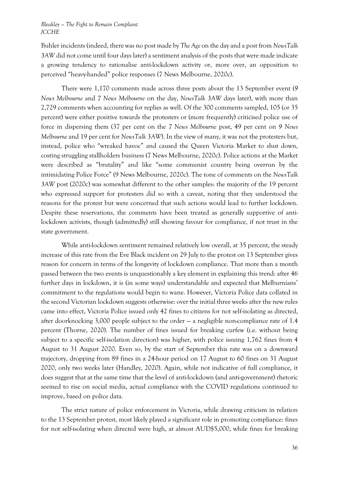Buhler incidents (indeed, there was no post made by *The Age* on the day and a post from *NewsTalk 3AW* did not come until four days later) a sentiment analysis of the posts that were made indicate a growing tendency to rationalise anti-lockdown activity or, more over, an opposition to perceived "heavy-handed" police responses (7 News Melbourne, 2020c).

There were 1,170 comments made across three posts about the 13 September event (*9 News Melbourne* and *7 News Melbourne* on the day, *NewsTalk 3AW* days later), with more than 2,729 comments when accounting for replies as well. Of the 300 comments sampled, 105 (or 35 percent) were either positive towards the protesters or (more frequently) criticised police use of force in dispersing them (37 per cent on the *7 News Melbourne* post, 49 per cent on *9 News Melbourne* and 19 per cent for *NewsTalk 3AW*). In the view of many, it was not the protesters but, instead, police who "wreaked havoc" and caused the Queen Victoria Market to shut down, costing struggling stallholders business (7 News Melbourne, 2020c). Police actions at the Market were described as "brutality" and like "some communist country being overrun by the intimidating Police Force" (9 News Melbourne, 2020c). The tone of comments on the *NewsTalk 3AW* post (2020c) was somewhat different to the other samples: the majority of the 19 percent who expressed support for protesters did so with a caveat, noting that they understood the reasons for the protest but were concerned that such actions would lead to further lockdown. Despite these reservations, the comments have been treated as generally supportive of antilockdown activists, though (admittedly) still showing favour for compliance, if not trust in the state government.

While anti-lockdown sentiment remained relatively low overall, at 35 percent, the steady increase of this rate from the Eve Black incident on 29 July to the protest on 13 September gives reason for concern in terms of the longevity of lockdown compliance. That more than a month passed between the two events is unquestionably a key element in explaining this trend: after 46 further days in lockdown, it is (in some ways) understandable and expected that Melburnians' commitment to the regulations would begin to wane. However, Victoria Police data collated in the second Victorian lockdown suggests otherwise: over the initial three weeks after the new rules came into effect, Victoria Police issued only 42 fines to citizens for not self-isolating as directed, after doorknocking 3,000 people subject to the order — a negligible non-compliance rate of 1.4 percent (Thorne, 2020). The number of fines issued for breaking curfew (i.e. without being subject to a specific self-isolation direction) was higher, with police issuing 1,762 fines from 4 August to 31 August 2020. Even so, by the start of September this rate was on a downward trajectory, dropping from 89 fines in a 24-hour period on 17 August to 60 fines on 31 August 2020, only two weeks later (Handley, 2020). Again, while not indicative of full compliance, it does suggest that at the same time that the level of anti-lockdown (and anti-government) rhetoric seemed to rise on social media, actual compliance with the COVID regulations continued to improve, based on police data.

The strict nature of police enforcement in Victoria, while drawing criticism in relation to the 13 September protest, most likely played a significant role in promoting compliance: fines for not self-isolating when directed were high, at almost AUD\$5,000, while fines for breaking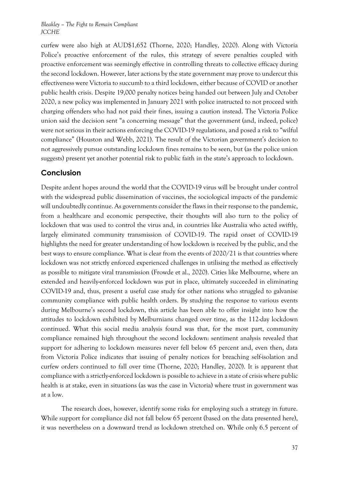curfew were also high at AUD\$1,652 (Thorne, 2020; Handley, 2020). Along with Victoria Police's proactive enforcement of the rules, this strategy of severe penalties coupled with proactive enforcement was seemingly effective in controlling threats to collective efficacy during the second lockdown. However, later actions by the state government may prove to undercut this effectiveness were Victoria to succumb to a third lockdown, either because of COVID or another public health crisis. Despite 19,000 penalty notices being handed out between July and October 2020, a new policy was implemented in January 2021 with police instructed to not proceed with charging offenders who had not paid their fines, issuing a caution instead. The Victoria Police union said the decision sent "a concerning message" that the government (and, indeed, police) were not serious in their actions enforcing the COVID-19 regulations, and posed a risk to "wilful compliance" (Houston and Webb, 2021). The result of the Victorian government's decision to not aggressively pursue outstanding lockdown fines remains to be seen, but (as the police union suggests) present yet another potential risk to public faith in the state's approach to lockdown.

### **Conclusion**

Despite ardent hopes around the world that the COVID-19 virus will be brought under control with the widespread public dissemination of vaccines, the sociological impacts of the pandemic will undoubtedly continue. As governments consider the flaws in their response to the pandemic, from a healthcare and economic perspective, their thoughts will also turn to the policy of lockdown that was used to control the virus and, in countries like Australia who acted swiftly, largely eliminated community transmission of COVID-19. The rapid onset of COVID-19 highlights the need for greater understanding of how lockdown is received by the public, and the best ways to ensure compliance. What is clear from the events of 2020/21 is that countries where lockdown was not strictly enforced experienced challenges in utilising the method as effectively as possible to mitigate viral transmission (Frowde et al., 2020). Cities like Melbourne, where an extended and heavily-enforced lockdown was put in place, ultimately succeeded in eliminating COVID-19 and, thus, present a useful case study for other nations who struggled to galvanise community compliance with public health orders. By studying the response to various events during Melbourne's second lockdown, this article has been able to offer insight into how the attitudes to lockdown exhibited by Melburnians changed over time, as the 112-day lockdown continued. What this social media analysis found was that, for the most part, community compliance remained high throughout the second lockdown: sentiment analysis revealed that support for adhering to lockdown measures never fell below 65 percent and, even then, data from Victoria Police indicates that issuing of penalty notices for breaching self-isolation and curfew orders continued to fall over time (Thorne, 2020; Handley, 2020). It is apparent that compliance with a strictly-enforced lockdown is possible to achieve in a state of crisis where public health is at stake, even in situations (as was the case in Victoria) where trust in government was at a low.

The research does, however, identify some risks for employing such a strategy in future. While support for compliance did not fall below 65 percent (based on the data presented here), it was nevertheless on a downward trend as lockdown stretched on. While only 6.5 percent of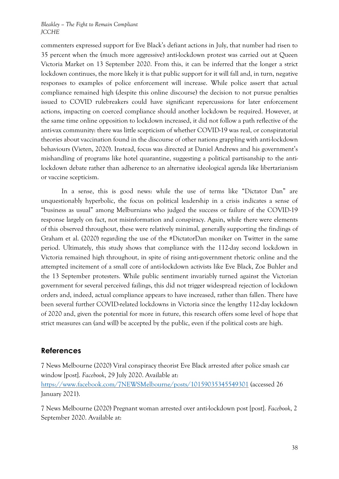commenters expressed support for Eve Black's defiant actions in July, that number had risen to 35 percent when the (much more aggressive) anti-lockdown protest was carried out at Queen Victoria Market on 13 September 2020. From this, it can be inferred that the longer a strict lockdown continues, the more likely it is that public support for it will fall and, in turn, negative responses to examples of police enforcement will increase. While police assert that actual compliance remained high (despite this online discourse) the decision to not pursue penalties issued to COVID rulebreakers could have significant repercussions for later enforcement actions, impacting on coerced compliance should another lockdown be required. However, at the same time online opposition to lockdown increased, it did not follow a path reflective of the anti-vax community: there was little scepticism of whether COVID-19 was real, or conspiratorial theories about vaccination found in the discourse of other nations grappling with anti-lockdown behaviours (Vieten, 2020). Instead, focus was directed at Daniel Andrews and his government's mishandling of programs like hotel quarantine, suggesting a political partisanship to the antilockdown debate rather than adherence to an alternative ideological agenda like libertarianism or vaccine scepticism.

In a sense, this is good news: while the use of terms like "Dictator Dan" are unquestionably hyperbolic, the focus on political leadership in a crisis indicates a sense of "business as usual" among Melburnians who judged the success or failure of the COVID-19 response largely on fact, not misinformation and conspiracy. Again, while there were elements of this observed throughout, these were relatively minimal, generally supporting the findings of Graham et al. (2020) regarding the use of the #DictatorDan moniker on Twitter in the same period. Ultimately, this study shows that compliance with the 112-day second lockdown in Victoria remained high throughout, in spite of rising anti-government rhetoric online and the attempted incitement of a small core of anti-lockdown activists like Eve Black, Zoe Buhler and the 13 September protesters. While public sentiment invariably turned against the Victorian government for several perceived failings, this did not trigger widespread rejection of lockdown orders and, indeed, actual compliance appears to have increased, rather than fallen. There have been several further COVID-related lockdowns in Victoria since the lengthy 112-day lockdown of 2020 and, given the potential for more in future, this research offers some level of hope that strict measures can (and will) be accepted by the public, even if the political costs are high.

### **References**

7 News Melbourne (2020) Viral conspiracy theorist Eve Black arrested after police smash car window [post]. *Facebook*, 29 July 2020. Available at: <https://www.facebook.com/7NEWSMelbourne/posts/10159035345549301> (accessed 26 January 2021).

7 News Melbourne (2020) Pregnant woman arrested over anti-lockdown post [post]. *Facebook*, 2 September 2020. Available at: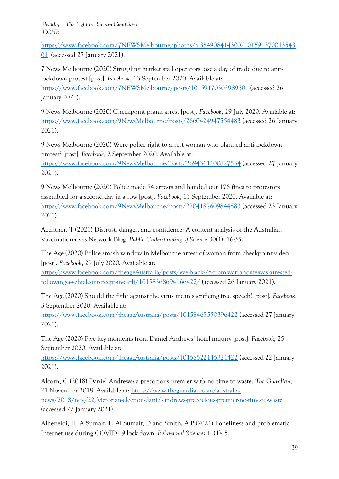[https://www.facebook.com/7NEWSMelbourne/photos/a.384908414300/101591370013543](https://www.facebook.com/7NEWSMelbourne/photos/a.384908414300/10159137001354301) [01](https://www.facebook.com/7NEWSMelbourne/photos/a.384908414300/10159137001354301) (accessed 27 January 2021).

7 News Melbourne (2020) Struggling market stall operators lose a day of trade due to antilockdown protest [post]. *Facebook*, 13 September 2020. Available at: <https://www.facebook.com/7NEWSMelbourne/posts/10159170303989301> (accessed 26 January 2021).

9 News Melbourne (2020) Checkpoint prank arrest [post]. *Facebook*, 29 July 2020. Available at: <https://www.facebook.com/9NewsMelbourne/posts/2660424947554483> (accessed 26 January 2021).

9 News Melbourne (2020) Were police right to arrest woman who planned anti-lockdown protest? [post]. *Facebook*, 2 September 2020. Available at:

<https://www.facebook.com/9NewsMelbourne/posts/2694361100827534> (accessed 27 January 2021).

9 News Melbourne (2020) Police made 74 arrests and handed out 176 fines to protestors assembled for a second day in a row [post]. *Facebook*, 13 September 2020. Available at: <https://www.facebook.com/9NewsMelbourne/posts/2704187609844883> (accessed 23 January 2021).

Aechtner, T (2021) Distrust, danger, and confidence: A content analysis of the Australian Vaccination-risks Network Blog. *Public Understanding of Science* 30(1): 16-35.

The Age (2020) Police smash window in Melbourne arrest of woman from checkpoint video [post]. *Facebook*, 29 July 2020. Available at:

[https://www.facebook.com/theageAustralia/posts/eve-black-28-from-warrandyte-was-arrested](https://www.facebook.com/theageAustralia/posts/eve-black-28-from-warrandyte-was-arrested-following-a-vehicle-intercept-in-carlt/10158368694166422/)[following-a-vehicle-intercept-in-carlt/10158368694166422/](https://www.facebook.com/theageAustralia/posts/eve-black-28-from-warrandyte-was-arrested-following-a-vehicle-intercept-in-carlt/10158368694166422/) (accessed 26 January 2021).

The Age (2020) Should the fight against the virus mean sacrificing free speech? [post]. *Facebook*, 3 September 2020. Available at:

<https://www.facebook.com/theageAustralia/posts/10158465550396422> (accessed 27 January 2021).

The Age (2020) Five key moments from Daniel Andrews' hotel inquiry [post]. *Facebook*, 25 September 2020. Available at:

<https://www.facebook.com/theageAustralia/posts/10158522145321422> (accessed 22 January 2021).

Alcorn, G (2018) Daniel Andrews: a precocious premier with no time to waste. *The Guardian*, 21 November 2018. Available at: [https://www.theguardian.com/australia](https://www.theguardian.com/australia-news/2018/nov/22/victorian-election-daniel-andrews-precocious-premier-no-time-to-waste)[news/2018/nov/22/victorian-election-daniel-andrews-precocious-premier-no-time-to-waste](https://www.theguardian.com/australia-news/2018/nov/22/victorian-election-daniel-andrews-precocious-premier-no-time-to-waste) (accessed 22 January 2021).

Alheneidi, H, AlSumait, L, Al Sumait, D and Smith, A P (2021) Loneliness and problematic Internet use during COVID-19 lock-down. *Behavioral Sciences* 11(1): 5.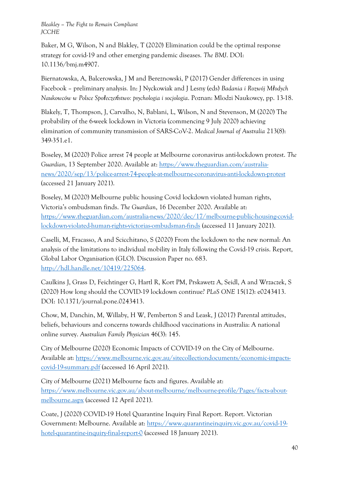Baker, M G, Wilson, N and Blakley, T (2020) Elimination could be the optimal response strategy for covid-19 and other emerging pandemic diseases. *The BMJ*. DOI: 10.1136/bmj.m4907.

Biernatowska, A, Balcerowska, J M and Bereznowski, P (2017) Gender differences in using Facebook – preliminary analysis*.* In: J Nyckowiak and J Lesny (eds) *Badania i Rozwój Młodych Naukowców w Polsce Społeczeństwo: psychologia i socjologia*. Poznan: Mlodzi Naukowcy, pp. 13-18.

Blakely, T, Thompson, J, Carvalho, N, Bablani, L, Wilson, N and Stevenson, M (2020) The probability of the 6-week lockdown in Victoria (commencing 9 July 2020) achieving elimination of community transmission of SARS-CoV-2. *Medical Journal of Australia* 213(8): 349-351.e1.

Boseley, M (2020) Police arrest 74 people at Melbourne coronavirus anti-lockdown protest. *The Guardian*, 13 September 2020. Available at: [https://www.theguardian.com/australia](https://www.theguardian.com/australia-news/2020/sep/13/police-arrest-74-people-at-melbourne-coronavirus-anti-lockdown-protest)[news/2020/sep/13/police-arrest-74-people-at-melbourne-coronavirus-anti-lockdown-protest](https://www.theguardian.com/australia-news/2020/sep/13/police-arrest-74-people-at-melbourne-coronavirus-anti-lockdown-protest) (accessed 21 January 2021).

Boseley, M (2020) Melbourne public housing Covid lockdown violated human rights, Victoria's ombudsman finds. *The Guardian*, 16 December 2020. Available at: [https://www.theguardian.com/australia-news/2020/dec/17/melbourne-public-housing-covid](https://www.theguardian.com/australia-news/2020/dec/17/melbourne-public-housing-covid-lockdown-violated-human-rights-victorias-ombudsman-finds)[lockdown-violated-human-rights-victorias-ombudsman-finds](https://www.theguardian.com/australia-news/2020/dec/17/melbourne-public-housing-covid-lockdown-violated-human-rights-victorias-ombudsman-finds) (accessed 11 January 2021).

Caselli, M, Fracasso, A and Scicchitano, S (2020) From the lockdown to the new normal: An analysis of the limitations to individual mobility in Italy following the Covid-19 crisis. Report, Global Labor Organisation (GLO). Discussion Paper no. 683. [http://hdl.handle.net/10419/225064.](http://hdl.handle.net/10419/225064)

Caulkins J, Grass D, Feichtinger G, Hartl R, Kort PM, Prskawetz A, Seidl, A and Wrzaczek, S (2020) How long should the COVID-19 lockdown continue? *PLoS ONE* 15(12): e0243413. DOI: 10.1371/journal.pone.0243413.

Chow, M, Danchin, M, Willaby, H W, Pemberton S and Leask, J (2017) Parental attitudes, beliefs, behaviours and concerns towards childhood vaccinations in Australia: A national online survey. *Australian Family Physician* 46(3): 145.

City of Melbourne (2020) Economic Impacts of COVID-19 on the City of Melbourne. Available at: [https://www.melbourne.vic.gov.au/sitecollectiondocuments/economic-impacts](https://www.melbourne.vic.gov.au/sitecollectiondocuments/economic-impacts-covid-19-summary.pdf)[covid-19-summary.pdf](https://www.melbourne.vic.gov.au/sitecollectiondocuments/economic-impacts-covid-19-summary.pdf) (accessed 16 April 2021).

City of Melbourne (2021) Melbourne facts and figures. Available at: [https://www.melbourne.vic.gov.au/about-melbourne/melbourne-profile/Pages/facts-about](https://www.melbourne.vic.gov.au/about-melbourne/melbourne-profile/Pages/facts-about-melbourne.aspx)[melbourne.aspx](https://www.melbourne.vic.gov.au/about-melbourne/melbourne-profile/Pages/facts-about-melbourne.aspx) (accessed 12 April 2021).

Coate, J (2020) COVID-19 Hotel Quarantine Inquiry Final Report. Report. Victorian Government: Melbourne. Available at: [https://www.quarantineinquiry.vic.gov.au/covid-19](https://www.quarantineinquiry.vic.gov.au/covid-19-hotel-quarantine-inquiry-final-report-0) [hotel-quarantine-inquiry-final-report-0](https://www.quarantineinquiry.vic.gov.au/covid-19-hotel-quarantine-inquiry-final-report-0) (accessed 18 January 2021).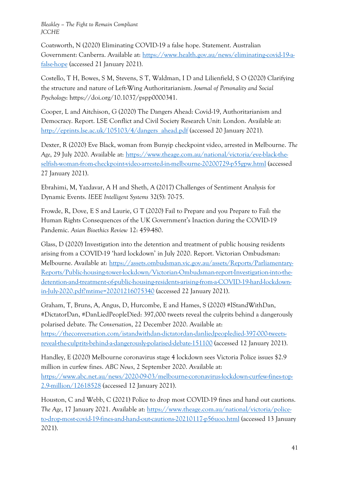Coatsworth, N (2020) Eliminating COVID-19 a false hope. Statement. Australian Government: Canberra. Available at: [https://www.health.gov.au/news/eliminating-covid-19-a](https://www.health.gov.au/news/eliminating-covid-19-a-false-hope)[false-hope](https://www.health.gov.au/news/eliminating-covid-19-a-false-hope) (accessed 21 January 2021).

Costello, T H, Bowes, S M, Stevens, S T, Waldman, I D and Lilienfield, S O (2020) Clarifying the structure and nature of Left-Wing Authoritarianism. *Journal of Personality and Social Psychology*: https://doi.org/10.1037/pspp0000341.

Cooper, L and Aitchison, G (2020) The Dangers Ahead: Covid-19, Authoritarianism and Democracy. Report. LSE Conflict and Civil Society Research Unit: London. Available at: [http://eprints.lse.ac.uk/105103/4/dangers\\_ahead.pdf](http://eprints.lse.ac.uk/105103/4/dangers_ahead.pdf) (accessed 20 January 2021).

Dexter, R (2020) Eve Black, woman from Bunyip checkpoint video, arrested in Melbourne. *The Age*, 29 July 2020. Available at: [https://www.theage.com.au/national/victoria/eve-black-the](https://www.theage.com.au/national/victoria/eve-black-the-selfish-woman-from-checkpoint-video-arrested-in-melbourne-20200729-p55gpw.html)[selfish-woman-from-checkpoint-video-arrested-in-melbourne-20200729-p55gpw.html](https://www.theage.com.au/national/victoria/eve-black-the-selfish-woman-from-checkpoint-video-arrested-in-melbourne-20200729-p55gpw.html) (accessed 27 January 2021).

Ebrahimi, M, Yazdavar, A H and Sheth, A (2017) Challenges of Sentiment Analysis for Dynamic Events. *IEEE Intelligent Systems* 32(5): 70-75.

Frowde, R, Dove, E S and Laurie, G T (2020) Fail to Prepare and you Prepare to Fail: the Human Rights Consequences of the UK Government's Inaction during the COVID-19 Pandemic. *Asian Bioethics Review* 12: 459-480.

Glass, D (2020) Investigation into the detention and treatment of public housing residents arising from a COVID-19 'hard lockdown' in July 2020. Report. Victorian Ombudsman: Melbourne. Available at: [https://assets.ombudsman.vic.gov.au/assets/Reports/Parliamentary-](https://assets.ombudsman.vic.gov.au/assets/Reports/Parliamentary-Reports/Public-housing-tower-lockdown/Victorian-Ombudsman-report-Investigation-into-the-detention-and-treatment-of-public-housing-residents-arising-from-a-COVID-19-hard-lockdown-in-July-2020.pdf?mtime=20201216075340)[Reports/Public-housing-tower-lockdown/Victorian-Ombudsman-report-Investigation-into-the](https://assets.ombudsman.vic.gov.au/assets/Reports/Parliamentary-Reports/Public-housing-tower-lockdown/Victorian-Ombudsman-report-Investigation-into-the-detention-and-treatment-of-public-housing-residents-arising-from-a-COVID-19-hard-lockdown-in-July-2020.pdf?mtime=20201216075340)[detention-and-treatment-of-public-housing-residents-arising-from-a-COVID-19-hard-lockdown](https://assets.ombudsman.vic.gov.au/assets/Reports/Parliamentary-Reports/Public-housing-tower-lockdown/Victorian-Ombudsman-report-Investigation-into-the-detention-and-treatment-of-public-housing-residents-arising-from-a-COVID-19-hard-lockdown-in-July-2020.pdf?mtime=20201216075340)[in-July-2020.pdf?mtime=20201216075340](https://assets.ombudsman.vic.gov.au/assets/Reports/Parliamentary-Reports/Public-housing-tower-lockdown/Victorian-Ombudsman-report-Investigation-into-the-detention-and-treatment-of-public-housing-residents-arising-from-a-COVID-19-hard-lockdown-in-July-2020.pdf?mtime=20201216075340) (accessed 22 January 2021).

Graham, T, Bruns, A, Angus, D, Hurcombe, E and Hames, S (2020) #IStandWithDan, #DictatorDan, #DanLiedPeopleDied: 397,000 tweets reveal the culprits behind a dangerously polarised debate. *The Conversation*, 22 December 2020. Available at: [https://theconversation.com/istandwithdan-dictatordan-danliedpeopledied-397-000-tweets](https://theconversation.com/istandwithdan-dictatordan-danliedpeopledied-397-000-tweets-reveal-the-culprits-behind-a-dangerously-polarised-debate-151100)[reveal-the-culprits-behind-a-dangerously-polarised-debate-151100](https://theconversation.com/istandwithdan-dictatordan-danliedpeopledied-397-000-tweets-reveal-the-culprits-behind-a-dangerously-polarised-debate-151100) (accessed 12 January 2021).

Handley, E (2020) Melbourne coronavirus stage 4 lockdown sees Victoria Police issues \$2.9 million in curfew fines. *ABC News*, 2 September 2020. Available at: [https://www.abc.net.au/news/2020-09-03/melbourne-coronavirus-lockdown-curfew-fines-top-](https://www.abc.net.au/news/2020-09-03/melbourne-coronavirus-lockdown-curfew-fines-top-2.9-million/12618528)[2.9-million/12618528](https://www.abc.net.au/news/2020-09-03/melbourne-coronavirus-lockdown-curfew-fines-top-2.9-million/12618528) (accessed 12 January 2021).

Houston, C and Webb, C (2021) Police to drop most COVID-19 fines and hand out cautions. *The Age*, 17 January 2021. Available at: [https://www.theage.com.au/national/victoria/police](https://www.theage.com.au/national/victoria/police-to-drop-most-covid-19-fines-and-hand-out-cautions-20210117-p56uoo.html)[to-drop-most-covid-19-fines-and-hand-out-cautions-20210117-p56uoo.html](https://www.theage.com.au/national/victoria/police-to-drop-most-covid-19-fines-and-hand-out-cautions-20210117-p56uoo.html) (accessed 13 January 2021).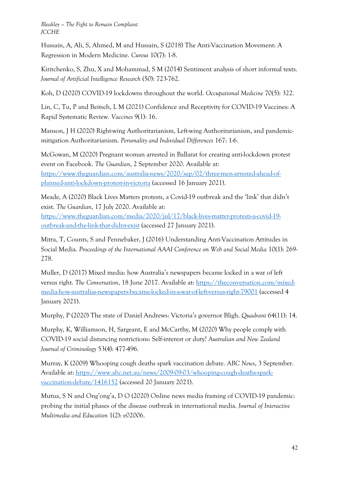Hussain, A, Ali, S, Ahmed, M and Hussain, S (2018) The Anti-Vaccination Movement: A Regression in Modern Medicine. *Cureus* 10(7): 1-8.

Kiritchenko, S, Zhu, X and Mohammad, S M (2014) Sentiment analysis of short informal texts. *Journal of Artificial Intelligence Research* (50): 723-762.

Koh, D (2020) COVID-19 lockdowns throughout the world. *Occupational Medicine* 70(5): 322.

Lin, C, Tu, P and Beitsch, L M (2021) Confidence and Receptivity for COVID-19 Vaccines: A Rapid Systematic Review*. Vaccines* 9(1): 16.

Manson, J H (2020) Right-wing Authoritarianism, Left-wing Authoritarianism, and pandemicmitigation Authoritarianism. *Personality and Individual Differences* 167: 1-6.

McGowan, M (2020) Pregnant woman arrested in Ballarat for creating anti-lockdown protest event on Facebook. *The Guardian*, 2 September 2020. Available at: [https://www.theguardian.com/australia-news/2020/sep/02/three-men-arrested-ahead-of](https://www.theguardian.com/australia-news/2020/sep/02/three-men-arrested-ahead-of-planned-anti-lockdown-protest-in-victoria)[planned-anti-lockdown-protest-in-victoria](https://www.theguardian.com/australia-news/2020/sep/02/three-men-arrested-ahead-of-planned-anti-lockdown-protest-in-victoria) (accessed 16 January 2021).

Meade, A (2020) Black Lives Matters protests, a Covid-19 outbreak and the 'link' that didn't exist. *The Guardian*, 17 July 2020. Available at:

[https://www.theguardian.com/media/2020/jul/17/black-lives-matter-protests-a-covid-19](https://www.theguardian.com/media/2020/jul/17/black-lives-matter-protests-a-covid-19-outbreak-and-the-link-that-didnt-exist) [outbreak-and-the-link-that-didnt-exist](https://www.theguardian.com/media/2020/jul/17/black-lives-matter-protests-a-covid-19-outbreak-and-the-link-that-didnt-exist) (accessed 27 January 2021).

Mitra, T, Counts, S and Pennebaker, J (2016) Understanding Anti-Vaccination Attitudes in Social Media. *Proceedings of the International AAAI Conference on Web and Social Media* 10(1): 269- 278.

Muller, D (2017) Mixed media: how Australia's newspapers became locked in a war of left versus right. *The Conversation*, 18 June 2017. Available at: [https://theconversation.com/mixed](https://theconversation.com/mixed-media-how-australias-newspapers-became-locked-in-a-war-of-left-versus-right-79001)[media-how-australias-newspapers-became-locked-in-a-war-of-left-versus-right-79001](https://theconversation.com/mixed-media-how-australias-newspapers-became-locked-in-a-war-of-left-versus-right-79001) (accessed 4 January 2021).

Murphy, P (2020) The state of Daniel Andrews: Victoria's governor Bligh. *Quadrant* 64(11): 14.

Murphy, K, Williamson, H, Sargeant, E and McCarthy, M (2020) Why people comply with COVID-19 social distancing restrictions: Self-interest or duty? *Australian and New Zealand Journal of Criminology* 53(4): 477-496.

Murray, K (2009) Whooping cough deaths spark vaccination debate. *ABC News*, 3 September. Available at: [https://www.abc.net.au/news/2009-09-03/whooping-cough-deaths-spark](https://www.abc.net.au/news/2009-09-03/whooping-cough-deaths-spark-vaccination-debate/1416152)[vaccination-debate/1416152](https://www.abc.net.au/news/2009-09-03/whooping-cough-deaths-spark-vaccination-debate/1416152) (accessed 20 January 2021).

Mutua, S N and Ong'ong'a, D O (2020) Online news media framing of COVID-19 pandemic: probing the initial phases of the disease outbreak in international media. *Journal of Interactive Multimedia and Education* 1(2): e02006.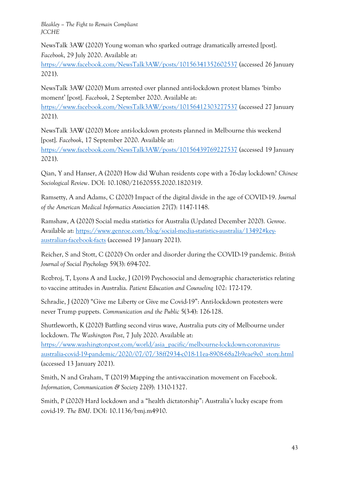NewsTalk 3AW (2020) Young woman who sparked outrage dramatically arrested [post]. *Facebook*, 29 July 2020. Available at:

<https://www.facebook.com/NewsTalk3AW/posts/10156341352602537> (accessed 26 January 2021).

NewsTalk 3AW (2020) Mum arrested over planned anti-lockdown protest blames 'bimbo moment' [post]. *Facebook*, 2 September 2020. Available at:

<https://www.facebook.com/NewsTalk3AW/posts/10156412303277537> (accessed 27 January 2021).

NewsTalk 3AW (2020) More anti-lockdown protests planned in Melbourne this weekend [post]. *Facebook*, 17 September 2020. Available at:

<https://www.facebook.com/NewsTalk3AW/posts/10156439769227537> (accessed 19 January 2021).

Qian, Y and Hanser, A (2020) How did Wuhan residents cope with a 76-day lockdown? *Chinese Sociological Review*. DOI: 10.1080/21620555.2020.1820319.

Ramsetty, A and Adams, C (2020) Impact of the digital divide in the age of COVID-19. *Journal of the American Medical Informatics Association* 27(7): 1147-1148.

Ramshaw, A (2020) Social media statistics for Australia (Updated December 2020). *Genroe*. Available at: [https://www.genroe.com/blog/social-media-statistics-australia/13492#key](https://www.genroe.com/blog/social-media-statistics-australia/13492#key-australian-facebook-facts)[australian-facebook-facts](https://www.genroe.com/blog/social-media-statistics-australia/13492#key-australian-facebook-facts) (accessed 19 January 2021).

Reicher, S and Stott, C (2020) On order and disorder during the COVID-19 pandemic. *British Journal of Social Psychology* 59(3): 694-702.

Rozbroj, T, Lyons A and Lucke, J (2019) Psychosocial and demographic characteristics relating to vaccine attitudes in Australia. *Patient Education and Counseling* 102: 172-179.

Schradie, J (2020) "Give me Liberty or Give me Covid-19": Anti-lockdown protesters were never Trump puppets. *Communication and the Public* 5(3-4): 126-128.

Shuttleworth, K (2020) Battling second virus wave, Australia puts city of Melbourne under lockdown. *The Washington Post*, 7 July 2020. Available at:

[https://www.washingtonpost.com/world/asia\\_pacific/melbourne-lockdown-coronavirus](https://www.washingtonpost.com/world/asia_pacific/melbourne-lockdown-coronavirus-australia-covid-19-pandemic/2020/07/07/38ff2934-c018-11ea-8908-68a2b9eae9e0_story.html)[australia-covid-19-pandemic/2020/07/07/38ff2934-c018-11ea-8908-68a2b9eae9e0\\_story.html](https://www.washingtonpost.com/world/asia_pacific/melbourne-lockdown-coronavirus-australia-covid-19-pandemic/2020/07/07/38ff2934-c018-11ea-8908-68a2b9eae9e0_story.html) (accessed 13 January 2021).

Smith, N and Graham, T (2019) Mapping the anti-vaccination movement on Facebook. *Information, Communication & Society* 22(9): 1310-1327.

Smith, P (2020) Hard lockdown and a "health dictatorship": Australia's lucky escape from covid-19. *The BMJ*. DOI: 10.1136/bmj.m4910.